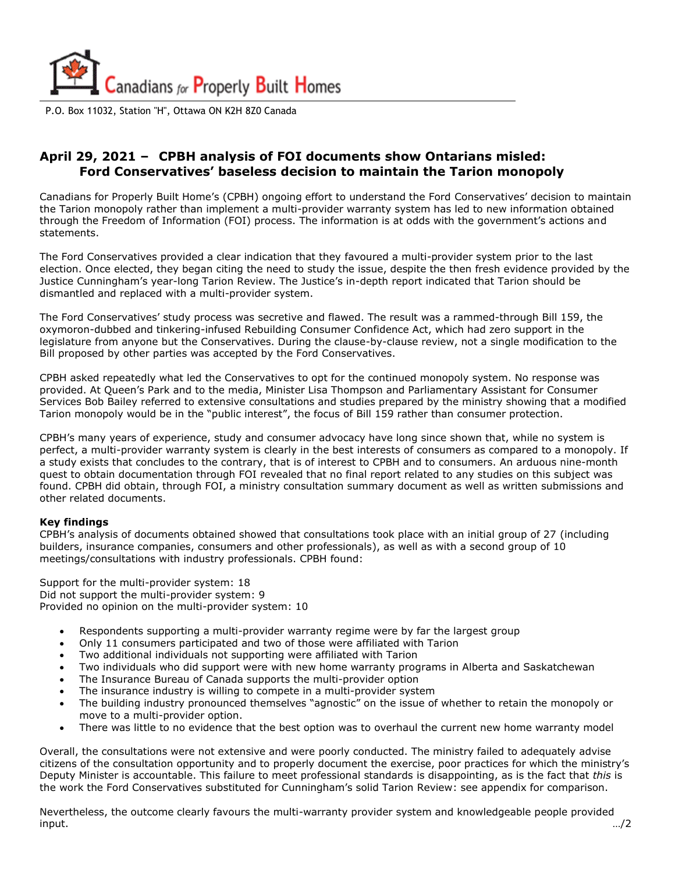

### **April 29, 2021 – CPBH analysis of FOI documents show Ontarians misled: Ford Conservatives' baseless decision to maintain the Tarion monopoly**

Canadians for Properly Built Home's (CPBH) ongoing effort to understand the Ford Conservatives' decision to maintain the Tarion monopoly rather than implement a multi-provider warranty system has led to new information obtained through the Freedom of Information (FOI) process. The information is at odds with the government's actions and statements.

The Ford Conservatives provided a clear indication that they favoured a multi-provider system prior to the last election. Once elected, they began citing the need to study the issue, despite the then fresh evidence provided by the Justice Cunningham's year-long Tarion Review. The Justice's in-depth report indicated that Tarion should be dismantled and replaced with a multi-provider system.

The Ford Conservatives' study process was secretive and flawed. The result was a rammed-through Bill 159, the oxymoron-dubbed and tinkering-infused Rebuilding Consumer Confidence Act, which had zero support in the legislature from anyone but the Conservatives. During the clause-by-clause review, not a single modification to the Bill proposed by other parties was accepted by the Ford Conservatives.

CPBH asked repeatedly what led the Conservatives to opt for the continued monopoly system. No response was provided. At Queen's Park and to the media, Minister Lisa Thompson and Parliamentary Assistant for Consumer Services Bob Bailey referred to extensive consultations and studies prepared by the ministry showing that a modified Tarion monopoly would be in the "public interest", the focus of Bill 159 rather than consumer protection.

CPBH's many years of experience, study and consumer advocacy have long since shown that, while no system is perfect, a multi-provider warranty system is clearly in the best interests of consumers as compared to a monopoly. If a study exists that concludes to the contrary, that is of interest to CPBH and to consumers. An arduous nine-month quest to obtain documentation through FOI revealed that no final report related to any studies on this subject was found. CPBH did obtain, through FOI, a ministry consultation summary document as well as written submissions and other related documents.

### **Key findings**

CPBH's analysis of documents obtained showed that consultations took place with an initial group of 27 (including builders, insurance companies, consumers and other professionals), as well as with a second group of 10 meetings/consultations with industry professionals. CPBH found:

Support for the multi-provider system: 18 Did not support the multi-provider system: 9 Provided no opinion on the multi-provider system: 10

- Respondents supporting a multi-provider warranty regime were by far the largest group
- Only 11 consumers participated and two of those were affiliated with Tarion
- Two additional individuals not supporting were affiliated with Tarion
- Two individuals who did support were with new home warranty programs in Alberta and Saskatchewan
- The Insurance Bureau of Canada supports the multi-provider option
- The insurance industry is willing to compete in a multi-provider system
- The building industry pronounced themselves "agnostic" on the issue of whether to retain the monopoly or move to a multi-provider option.
- There was little to no evidence that the best option was to overhaul the current new home warranty model

Overall, the consultations were not extensive and were poorly conducted. The ministry failed to adequately advise citizens of the consultation opportunity and to properly document the exercise, poor practices for which the ministry's Deputy Minister is accountable. This failure to meet professional standards is disappointing, as is the fact that *this* is the work the Ford Conservatives substituted for Cunningham's solid Tarion Review: see appendix for comparison.

Nevertheless, the outcome clearly favours the multi-warranty provider system and knowledgeable people provided input. …/2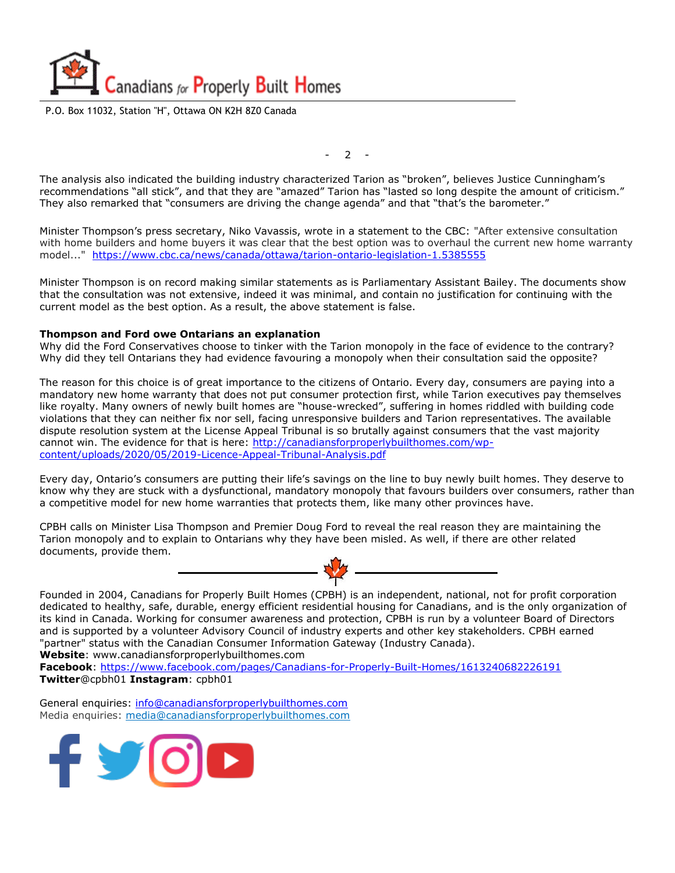

 $2 -$ 

The analysis also indicated the building industry characterized Tarion as "broken", believes Justice Cunningham's recommendations "all stick", and that they are "amazed" Tarion has "lasted so long despite the amount of criticism." They also remarked that "consumers are driving the change agenda" and that "that's the barometer."

Minister Thompson's press secretary, Niko Vavassis, wrote in a statement to the CBC: "After extensive consultation with home builders and home buyers it was clear that the best option was to overhaul the current new home warranty model..." <https://www.cbc.ca/news/canada/ottawa/tarion-ontario-legislation-1.5385555>

Minister Thompson is on record making similar statements as is Parliamentary Assistant Bailey. The documents show that the consultation was not extensive, indeed it was minimal, and contain no justification for continuing with the current model as the best option. As a result, the above statement is false.

#### **Thompson and Ford owe Ontarians an explanation**

Why did the Ford Conservatives choose to tinker with the Tarion monopoly in the face of evidence to the contrary? Why did they tell Ontarians they had evidence favouring a monopoly when their consultation said the opposite?

The reason for this choice is of great importance to the citizens of Ontario. Every day, consumers are paying into a mandatory new home warranty that does not put consumer protection first, while Tarion executives pay themselves like royalty. Many owners of newly built homes are "house-wrecked", suffering in homes riddled with building code violations that they can neither fix nor sell, facing unresponsive builders and Tarion representatives. The available dispute resolution system at the License Appeal Tribunal is so brutally against consumers that the vast majority cannot win. The evidence for that is here: [http://canadiansforproperlybuilthomes.com/wp](http://canadiansforproperlybuilthomes.com/wp-content/uploads/2020/05/2019-Licence-Appeal-Tribunal-Analysis.pdf)[content/uploads/2020/05/2019-Licence-Appeal-Tribunal-Analysis.pdf](http://canadiansforproperlybuilthomes.com/wp-content/uploads/2020/05/2019-Licence-Appeal-Tribunal-Analysis.pdf) 

Every day, Ontario's consumers are putting their life's savings on the line to buy newly built homes. They deserve to know why they are stuck with a dysfunctional, mandatory monopoly that favours builders over consumers, rather than a competitive model for new home warranties that protects them, like many other provinces have.

CPBH calls on Minister Lisa Thompson and Premier Doug Ford to reveal the real reason they are maintaining the Tarion monopoly and to explain to Ontarians why they have been misled. As well, if there are other related documents, provide them.



Founded in 2004, Canadians for Properly Built Homes (CPBH) is an independent, national, not for profit corporation dedicated to healthy, safe, durable, energy efficient residential housing for Canadians, and is the only organization of its kind in Canada. Working for consumer awareness and protection, CPBH is run by a volunteer Board of Directors and is supported by a volunteer Advisory Council of industry experts and other key stakeholders. CPBH earned "partner" status with the Canadian Consumer Information Gateway (Industry Canada).

**Website**: www.canadiansforproperlybuilthomes.com

**Facebook**:<https://www.facebook.com/pages/Canadians-for-Properly-Built-Homes/1613240682226191> **Twitter**@cpbh01 **Instagram**: cpbh01

General enquiries: [info@canadiansforproperlybuilthomes.com](mailto:info@canadiansforproperlybuilthomes.com) Media enquiries: [media@canadiansforproperlybuilthomes.com](mailto:media@canadiansforproperlybuilthomes.com) 

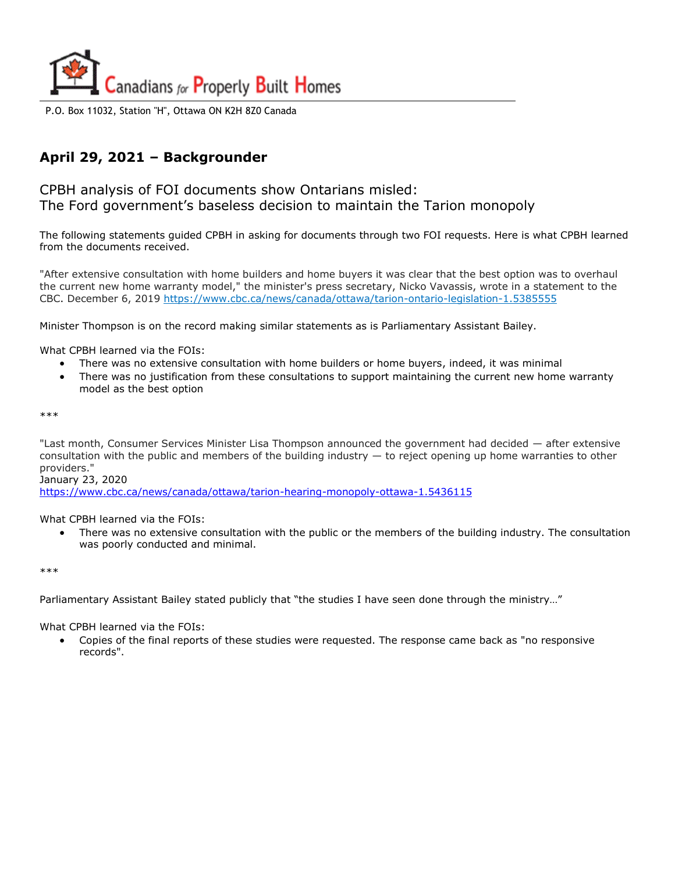

## **April 29, 2021 – Backgrounder**

### CPBH analysis of FOI documents show Ontarians misled: The Ford government's baseless decision to maintain the Tarion monopoly

The following statements guided CPBH in asking for documents through two FOI requests. Here is what CPBH learned from the documents received.

"After extensive consultation with home builders and home buyers it was clear that the best option was to overhaul the current new home warranty model," the minister's press secretary, Nicko Vavassis, wrote in a statement to the CBC. December 6, 2019 <https://www.cbc.ca/news/canada/ottawa/tarion-ontario-legislation-1.5385555>

Minister Thompson is on the record making similar statements as is Parliamentary Assistant Bailey.

What CPBH learned via the FOIs:

- There was no extensive consultation with home builders or home buyers, indeed, it was minimal
- There was no justification from these consultations to support maintaining the current new home warranty model as the best option

\*\*\*

"Last month, Consumer Services Minister Lisa Thompson announced the government had decided — after extensive consultation with the public and members of the building industry  $-$  to reject opening up home warranties to other providers."

January 23, 2020 <https://www.cbc.ca/news/canada/ottawa/tarion-hearing-monopoly-ottawa-1.5436115>

What CPBH learned via the FOIs:

• There was no extensive consultation with the public or the members of the building industry. The consultation was poorly conducted and minimal.

\*\*\*

Parliamentary Assistant Bailey stated publicly that "the studies I have seen done through the ministry…"

What CPBH learned via the FOIs:

• Copies of the final reports of these studies were requested. The response came back as "no responsive records".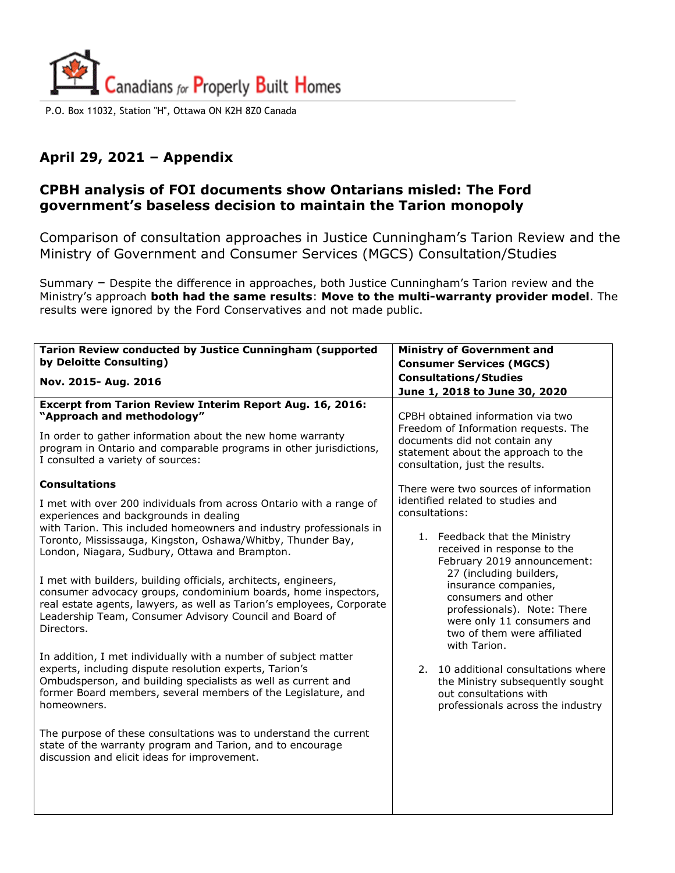

# **April 29, 2021 – Appendix**

## **CPBH analysis of FOI documents show Ontarians misled: The Ford government's baseless decision to maintain the Tarion monopoly**

Comparison of consultation approaches in Justice Cunningham's Tarion Review and the Ministry of Government and Consumer Services (MGCS) Consultation/Studies

Summary – Despite the difference in approaches, both Justice Cunningham's Tarion review and the Ministry's approach **both had the same results**: **Move to the multi-warranty provider model**. The results were ignored by the Ford Conservatives and not made public.

| <b>Ministry of Government and</b><br><b>Consumer Services (MGCS)</b>                                                                                                                 |
|--------------------------------------------------------------------------------------------------------------------------------------------------------------------------------------|
| <b>Consultations/Studies</b><br>June 1, 2018 to June 30, 2020                                                                                                                        |
| CPBH obtained information via two<br>Freedom of Information requests. The<br>documents did not contain any<br>statement about the approach to the<br>consultation, just the results. |
| There were two sources of information                                                                                                                                                |
| identified related to studies and<br>consultations:                                                                                                                                  |
| 1. Feedback that the Ministry<br>received in response to the<br>February 2019 announcement:                                                                                          |
| 27 (including builders,<br>insurance companies,<br>consumers and other<br>professionals). Note: There<br>were only 11 consumers and<br>two of them were affiliated<br>with Tarion.   |
| 2. 10 additional consultations where<br>the Ministry subsequently sought<br>out consultations with<br>professionals across the industry                                              |
|                                                                                                                                                                                      |
|                                                                                                                                                                                      |